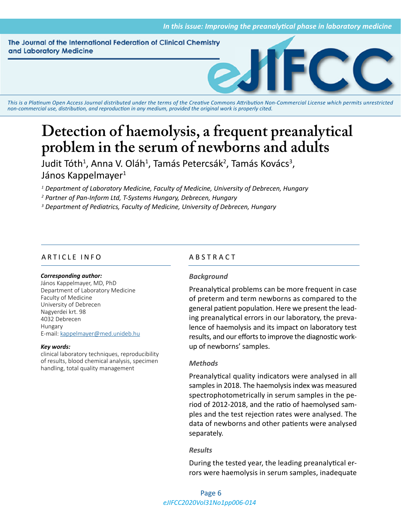The Journal of the International Federation of Clinical Chemistry and Laboratory Medicine



*This is a Platinum Open Access Journal distributed under the terms of the [Creative Commons Attribution Non-Commercial License](https://creativecommons.org/licenses/by-nc/4.0/) which permits unrestricted non-commercial use, distribution, and reproduction in any medium, provided the original work is properly cited.*

# **Detection of haemolysis, a frequent preanalytical problem in the serum of newborns and adults**

Judit Tóth<sup>1</sup>, Anna V. Oláh<sup>1</sup>, Tamás Petercsák<sup>2</sup>, Tamás Kovács<sup>3</sup>, János Kappelmayer<sup>1</sup>

*1 Department of Laboratory Medicine, Faculty of Medicine, University of Debrecen, Hungary*

*2 Partner of Pan-Inform Ltd, T-Systems Hungary, Debrecen, Hungary*

*3 Department of Pediatrics, Faculty of Medicine, University of Debrecen, Hungary*

# ARTICLE INFO ABSTRACT

#### *Corresponding author:*

János Kappelmayer, MD, PhD Department of Laboratory Medicine Faculty of Medicine University of Debrecen Nagyerdei krt. 98 4032 Debrecen Hungary E-mail: [kappelmayer@med.unideb.hu](mailto:kappelmayer@med.unideb.hu)

#### *Key words:*

clinical laboratory techniques, reproducibility of results, blood chemical analysis, specimen handling, total quality management

## *Background*

Preanalytical problems can be more frequent in case of preterm and term newborns as compared to the general patient population. Here we present the leading preanalytical errors in our laboratory, the prevalence of haemolysis and its impact on laboratory test results, and our efforts to improve the diagnostic workup of newborns' samples.

## *Methods*

Preanalytical quality indicators were analysed in all samples in 2018. The haemolysis index was measured spectrophotometrically in serum samples in the period of 2012-2018, and the ratio of haemolysed samples and the test rejection rates were analysed. The data of newborns and other patients were analysed separately.

## *Results*

During the tested year, the leading preanalytical errors were haemolysis in serum samples, inadequate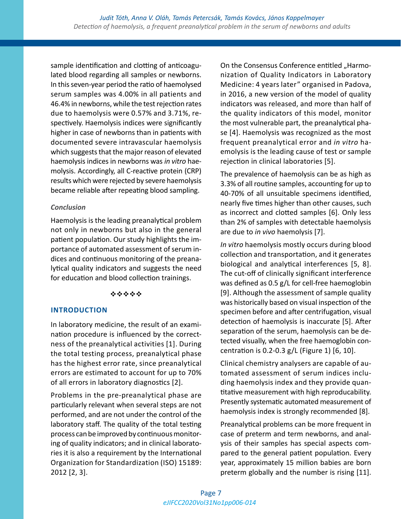sample identification and clotting of anticoagulated blood regarding all samples or newborns. In this seven-year period the ratio of haemolysed serum samples was 4.00% in all patients and 46.4% in newborns, while the test rejection rates due to haemolysis were 0.57% and 3.71%, respectively. Haemolysis indices were significantly higher in case of newborns than in patients with documented severe intravascular haemolysis which suggests that the major reason of elevated haemolysis indices in newborns was *in vitro* haemolysis. Accordingly, all C-reactive protein (CRP) results which were rejected by severe haemolysis became reliable after repeating blood sampling.

# *Conclusion*

Haemolysis is the leading preanalytical problem not only in newborns but also in the general patient population. Our study highlights the importance of automated assessment of serum indices and continuous monitoring of the preanalytical quality indicators and suggests the need for education and blood collection trainings.

# \*\*\*\*\*

# **INTRODUCTION**

In laboratory medicine, the result of an examination procedure is influenced by the correctness of the preanalytical activities [1]. During the total testing process, preanalytical phase has the highest error rate, since preanalytical errors are estimated to account for up to 70% of all errors in laboratory diagnostics [2].

Problems in the pre-preanalytical phase are particularly relevant when several steps are not performed, and are not under the control of the laboratory staff. The quality of the total testing process can be improved by continuous monitoring of quality indicators; and in clinical laboratories it is also a requirement by the International Organization for Standardization (ISO) 15189: 2012 [2, 3].

On the Consensus Conference entitled "Harmonization of Quality Indicators in Laboratory Medicine: 4 years later" organised in Padova, in 2016, a new version of the model of quality indicators was released, and more than half of the quality indicators of this model, monitor the most vulnerable part, the preanalytical phase [4]. Haemolysis was recognized as the most frequent preanalytical error and *in vitro* haemolysis is the leading cause of test or sample rejection in clinical laboratories [5].

The prevalence of haemolysis can be as high as 3.3% of all routine samples, accounting for up to 40-70% of all unsuitable specimens identified, nearly five times higher than other causes, such as incorrect and clotted samples [6]. Only less than 2% of samples with detectable haemolysis are due to *in vivo* haemolysis [7].

*In vitro* haemolysis mostly occurs during blood collection and transportation, and it generates biological and analytical interferences [5, 8]. The cut-off of clinically significant interference was defined as 0.5 g/L for cell-free haemoglobin [9]. Although the assessment of sample quality was historically based on visual inspection of the specimen before and after centrifugation, visual detection of haemolysis is inaccurate [5]. After separation of the serum, haemolysis can be detected visually, when the free haemoglobin concentration is 0.2-0.3 g/L (Figure 1) [6, 10].

Clinical chemistry analysers are capable of automated assessment of serum indices including haemolysis index and they provide quantitative measurement with high reproducability. Presently systematic automated measurement of haemolysis index is strongly recommended [8].

Preanalytical problems can be more frequent in case of preterm and term newborns, and analysis of their samples has special aspects compared to the general patient population. Every year, approximately 15 million babies are born preterm globally and the number is rising [11].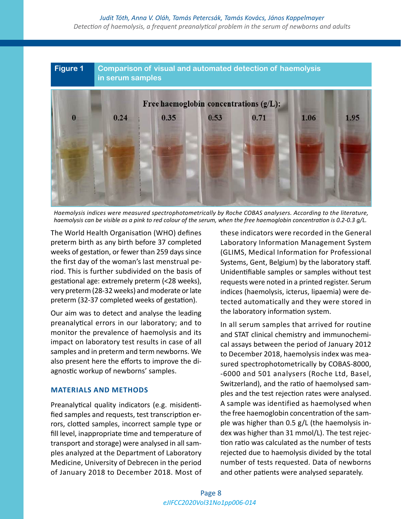# **Figure 1 Comparison of visual and automated detection of haemolysis in serum samples**



*Haemolysis indices were measured spectrophotometrically by Roche COBAS analysers. According to the literature, haemolysis can be visible as a pink to red colour of the serum, when the free haemoglobin concentration is 0.2-0.3 g/L.*

The World Health Organisation (WHO) defines preterm birth as any birth before 37 completed weeks of gestation, or fewer than 259 days since the first day of the woman's last menstrual period. This is further subdivided on the basis of gestational age: extremely preterm (<28 weeks), very preterm (28-32 weeks) and moderate or late preterm (32-37 completed weeks of gestation).

Our aim was to detect and analyse the leading preanalytical errors in our laboratory; and to monitor the prevalence of haemolysis and its impact on laboratory test results in case of all samples and in preterm and term newborns. We also present here the efforts to improve the diagnostic workup of newborns' samples.

# **MATERIALS AND METHODS**

Preanalytical quality indicators (e.g. misidentified samples and requests, test transcription errors, clotted samples, incorrect sample type or fill level, inappropriate time and temperature of transport and storage) were analysed in all samples analyzed at the Department of Laboratory Medicine, University of Debrecen in the period of January 2018 to December 2018. Most of these indicators were recorded in the General Laboratory Information Management System (GLIMS, Medical Information for Professional Systems, Gent, Belgium) by the laboratory staff. Unidentifiable samples or samples without test requests were noted in a printed register. Serum indices (haemolysis, icterus, lipaemia) were detected automatically and they were stored in the laboratory information system.

In all serum samples that arrived for routine and STAT clinical chemistry and immunochemical assays between the period of January 2012 to December 2018, haemolysis index was measured spectrophotometrically by COBAS-8000, -6000 and 501 analysers (Roche Ltd, Basel, Switzerland), and the ratio of haemolysed samples and the test rejection rates were analysed. A sample was identified as haemolysed when the free haemoglobin concentration of the sample was higher than 0.5 g/L (the haemolysis index was higher than 31 mmol/L). The test rejection ratio was calculated as the number of tests rejected due to haemolysis divided by the total number of tests requested. Data of newborns and other patients were analysed separately.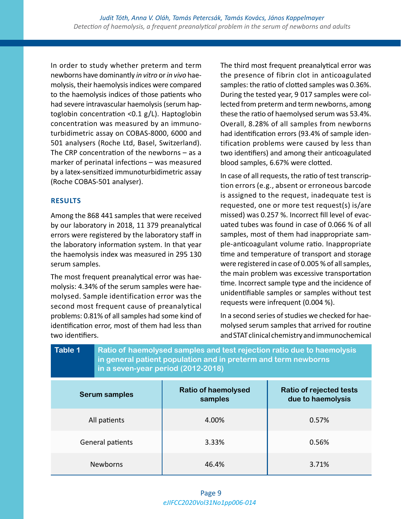In order to study whether preterm and term newborns have dominantly *in vitro* or *in vivo* haemolysis, their haemolysis indices were compared to the haemolysis indices of those patients who had severe intravascular haemolysis (serum haptoglobin concentration <0.1 g/L). Haptoglobin concentration was measured by an immunoturbidimetric assay on COBAS-8000, 6000 and 501 analysers (Roche Ltd, Basel, Switzerland). The CRP concentration of the newborns – as a marker of perinatal infections – was measured by a latex-sensitized immunoturbidimetric assay (Roche COBAS-501 analyser).

# **RESULTS**

Among the 868 441 samples that were received by our laboratory in 2018, 11 379 preanalytical errors were registered by the laboratory staff in the laboratory information system. In that year the haemolysis index was measured in 295 130 serum samples.

The most frequent preanalytical error was haemolysis: 4.34% of the serum samples were haemolysed. Sample identification error was the second most frequent cause of preanalytical problems: 0.81% of all samples had some kind of identification error, most of them had less than two identifiers.

The third most frequent preanalytical error was the presence of fibrin clot in anticoagulated samples: the ratio of clotted samples was 0.36%. During the tested year, 9 017 samples were collected from preterm and term newborns, among these the ratio of haemolysed serum was 53.4%. Overall, 8.28% of all samples from newborns had identification errors (93.4% of sample identification problems were caused by less than two identifiers) and among their anticoagulated blood samples, 6.67% were clotted.

In case of all requests, the ratio of test transcription errors (e.g., absent or erroneous barcode is assigned to the request, inadequate test is requested, one or more test request(s) is/are missed) was 0.257 %. Incorrect fill level of evacuated tubes was found in case of 0.066 % of all samples, most of them had inappropriate sample-anticoagulant volume ratio. Inappropriate time and temperature of transport and storage were registered in case of 0.005 % of all samples, the main problem was excessive transportation time. Incorrect sample type and the incidence of unidentifiable samples or samples without test requests were infrequent (0.004 %).

In a second series of studies we checked for haemolysed serum samples that arrived for routine and STAT clinical chemistry and immunochemical

| Table 1              | Ratio of haemolysed samples and test rejection ratio due to haemolysis<br>in general patient population and in preterm and term newborns<br>in a seven-year period (2012-2018) |                                       |                                              |  |  |  |
|----------------------|--------------------------------------------------------------------------------------------------------------------------------------------------------------------------------|---------------------------------------|----------------------------------------------|--|--|--|
| <b>Serum samples</b> |                                                                                                                                                                                | <b>Ratio of haemolysed</b><br>samples | Ratio of rejected tests<br>due to haemolysis |  |  |  |
| All patients         |                                                                                                                                                                                | 4.00%                                 | 0.57%                                        |  |  |  |
| General patients     |                                                                                                                                                                                | 3.33%                                 | 0.56%                                        |  |  |  |
| <b>Newborns</b>      |                                                                                                                                                                                | 46.4%                                 | 3.71%                                        |  |  |  |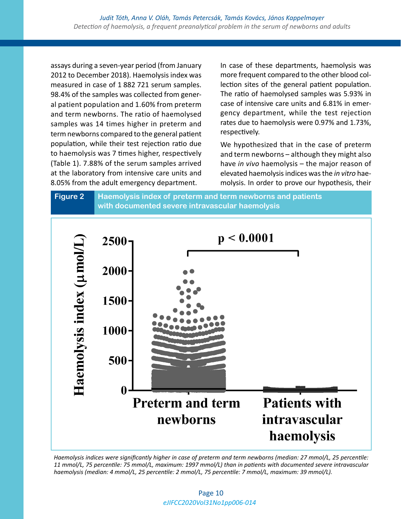assays during a seven-year period (from January 2012 to December 2018). Haemolysis index was measured in case of 1 882 721 serum samples. 98.4% of the samples was collected from general patient population and 1.60% from preterm and term newborns. The ratio of haemolysed samples was 14 times higher in preterm and term newborns compared to the general patient population, while their test rejection ratio due to haemolysis was 7 times higher, respectively (Table 1). 7.88% of the serum samples arrived at the laboratory from intensive care units and 8.05% from the adult emergency department.

In case of these departments, haemolysis was more frequent compared to the other blood collection sites of the general patient population. The ratio of haemolysed samples was 5.93% in case of intensive care units and 6.81% in emergency department, while the test rejection rates due to haemolysis were 0.97% and 1.73%, respectively.

We hypothesized that in the case of preterm and term newborns – although they might also have *in vivo* haemolysis – the major reason of elevated haemolysis indices was the *in vitro* haemolysis. In order to prove our hypothesis, their





*Haemolysis indices were significantly higher in case of preterm and term newborns (median: 27 mmol/L, 25 percentile: 11 mmol/L, 75 percentile: 75 mmol/L, maximum: 1997 mmol/L) than in patients with documented severe intravascular haemolysis (median: 4 mmol/L, 25 percentile: 2 mmol/L, 75 percentile: 7 mmol/L, maximum: 39 mmol/L).*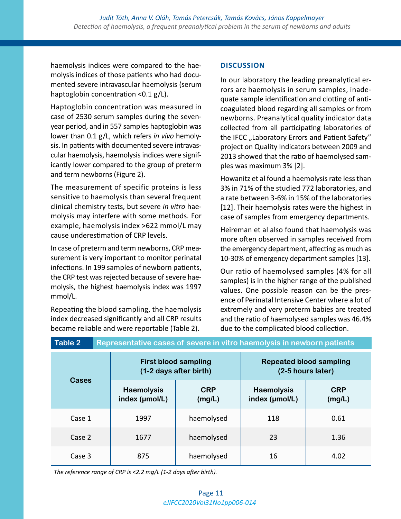haemolysis indices were compared to the haemolysis indices of those patients who had documented severe intravascular haemolysis (serum haptoglobin concentration <0.1 g/L).

Haptoglobin concentration was measured in case of 2530 serum samples during the sevenyear period, and in 557 samples haptoglobin was lower than 0.1 g/L, which refers *in vivo* hemolysis. In patients with documented severe intravascular haemolysis, haemolysis indices were significantly lower compared to the group of preterm and term newborns (Figure 2).

The measurement of specific proteins is less sensitive to haemolysis than several frequent clinical chemistry tests, but severe *in vitro* haemolysis may interfere with some methods. For example, haemolysis index >622 mmol/L may cause underestimation of CRP levels.

In case of preterm and term newborns, CRP measurement is very important to monitor perinatal infections. In 199 samples of newborn patients, the CRP test was rejected because of severe haemolysis, the highest haemolysis index was 1997 mmol/L.

Repeating the blood sampling, the haemolysis index decreased significantly and all CRP results became reliable and were reportable (Table 2).

# **DISCUSSION**

In our laboratory the leading preanalytical errors are haemolysis in serum samples, inadequate sample identification and clotting of anticoagulated blood regarding all samples or from newborns. Preanalytical quality indicator data collected from all participating laboratories of the IFCC "Laboratory Errors and Patient Safety" project on Quality Indicators between 2009 and 2013 showed that the ratio of haemolysed samples was maximum 3% [2].

Howanitz et al found a haemolysis rate less than 3% in 71% of the studied 772 laboratories, and a rate between 3-6% in 15% of the laboratories [12]. Their haemolysis rates were the highest in case of samples from emergency departments.

Heireman et al also found that haemolysis was more often observed in samples received from the emergency department, affecting as much as 10-30% of emergency department samples [13].

Our ratio of haemolysed samples (4% for all samples) is in the higher range of the published values. One possible reason can be the presence of Perinatal Intensive Center where a lot of extremely and very preterm babies are treated and the ratio of haemolysed samples was 46.4% due to the complicated blood collection.

| <b>Table 2</b><br>Representative cases of severe in vitro haemolysis in newborn patients |                                                       |                      |                                                     |                      |  |  |
|------------------------------------------------------------------------------------------|-------------------------------------------------------|----------------------|-----------------------------------------------------|----------------------|--|--|
| <b>Cases</b>                                                                             | <b>First blood sampling</b><br>(1-2 days after birth) |                      | <b>Repeated blood sampling</b><br>(2-5 hours later) |                      |  |  |
|                                                                                          | <b>Haemolysis</b><br>index (µmol/L)                   | <b>CRP</b><br>(mg/L) | <b>Haemolysis</b><br>index (µmol/L)                 | <b>CRP</b><br>(mg/L) |  |  |
| Case 1                                                                                   | 1997                                                  | haemolysed           | 118                                                 | 0.61                 |  |  |
| Case 2                                                                                   | 1677                                                  | haemolysed           | 23                                                  | 1.36                 |  |  |
| Case 3                                                                                   | 875                                                   | haemolysed           | 16                                                  | 4.02                 |  |  |

*The reference range of CRP is <2.2 mg/L (1-2 days after birth).*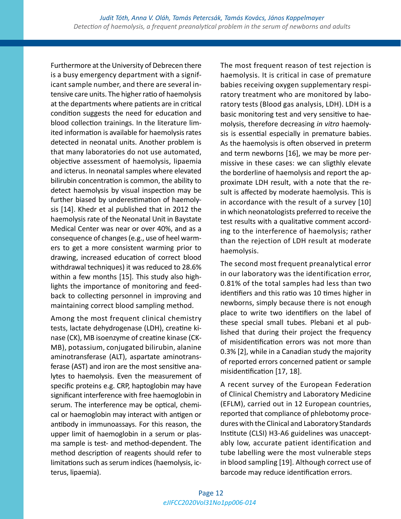Furthermore at the University of Debrecen there is a busy emergency department with a significant sample number, and there are several intensive care units. The higher ratio of haemolysis at the departments where patients are in critical condition suggests the need for education and blood collection trainings. In the literature limited information is available for haemolysis rates detected in neonatal units. Another problem is that many laboratories do not use automated, objective assessment of haemolysis, lipaemia and icterus. In neonatal samples where elevated bilirubin concentration is common, the ability to detect haemolysis by visual inspection may be further biased by underestimation of haemolysis [14]. Khedr et al published that in 2012 the haemolysis rate of the Neonatal Unit in Baystate Medical Center was near or over 40%, and as a consequence of changes (e.g., use of heel warmers to get a more consistent warming prior to drawing, increased education of correct blood withdrawal techniques) it was reduced to 28.6% within a few months [15]. This study also highlights the importance of monitoring and feedback to collecting personnel in improving and maintaining correct blood sampling method.

Among the most frequent clinical chemistry tests, lactate dehydrogenase (LDH), creatine kinase (CK), MB isoenzyme of creatine kinase (CK-MB), potassium, conjugated bilirubin, alanine aminotransferase (ALT), aspartate aminotransferase (AST) and iron are the most sensitive analytes to haemolysis. Even the measurement of specific proteins e.g. CRP, haptoglobin may have significant interference with free haemoglobin in serum. The interference may be optical, chemical or haemoglobin may interact with antigen or antibody in immunoassays. For this reason, the upper limit of haemoglobin in a serum or plasma sample is test- and method-dependent. The method description of reagents should refer to limitations such as serum indices (haemolysis, icterus, lipaemia).

The most frequent reason of test rejection is haemolysis. It is critical in case of premature babies receiving oxygen supplementary respiratory treatment who are monitored by laboratory tests (Blood gas analysis, LDH). LDH is a basic monitoring test and very sensitive to haemolysis, therefore decreasing *in vitro* haemolysis is essential especially in premature babies. As the haemolysis is often observed in preterm and term newborns [16], we may be more permissive in these cases: we can sligthly elevate the borderline of haemolysis and report the approximate LDH result, with a note that the result is affected by moderate haemolysis. This is in accordance with the result of a survey [10] in which neonatologists preferred to receive the test results with a qualitative comment according to the interference of haemolysis; rather than the rejection of LDH result at moderate haemolysis.

The second most frequent preanalytical error in our laboratory was the identification error, 0.81% of the total samples had less than two identifiers and this ratio was 10 times higher in newborns, simply because there is not enough place to write two identifiers on the label of these special small tubes. Plebani et al published that during their project the frequency of misidentification errors was not more than 0.3% [2], while in a Canadian study the majority of reported errors concerned patient or sample misidentification [17, 18].

A recent survey of the European Federation of Clinical Chemistry and Laboratory Medicine (EFLM), carried out in 12 European countries, reported that compliance of phlebotomy procedures with the Clinical and Laboratory Standards Institute (CLSI) H3-A6 guidelines was unacceptably low, accurate patient identification and tube labelling were the most vulnerable steps in blood sampling [19]. Although correct use of barcode may reduce identification errors.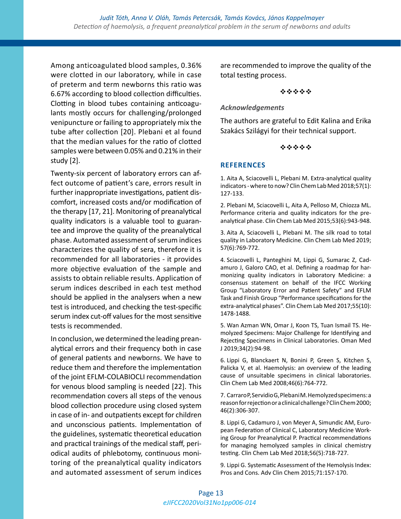Among anticoagulated blood samples, 0.36% were clotted in our laboratory, while in case of preterm and term newborns this ratio was 6.67% according to blood collection difficulties. Clotting in blood tubes containing anticoagulants mostly occurs for challenging/prolonged venipuncture or failing to appropriately mix the tube after collection [20]. Plebani et al found that the median values for the ratio of clotted samples were between 0.05% and 0.21% in their study [2].

Twenty-six percent of laboratory errors can affect outcome of patient's care, errors result in further inappropriate investigations, patient discomfort, increased costs and/or modification of the therapy [17, 21]. Monitoring of preanalytical quality indicators is a valuable tool to guarantee and improve the quality of the preanalytical phase. Automated assessment of serum indices characterizes the quality of sera, therefore it is recommended for all laboratories - it provides more objective evaluation of the sample and assists to obtain reliable results. Application of serum indices described in each test method should be applied in the analysers when a new test is introduced, and checking the test-specific serum index cut-off values for the most sensitive tests is recommended.

In conclusion, we determined the leading preanalytical errors and their frequency both in case of general patients and newborns. We have to reduce them and therefore the implementation of the joint EFLM-COLABIOCLI recommendation for venous blood sampling is needed [22]. This recommendation covers all steps of the venous blood collection procedure using closed system in case of in- and outpatients except for children and unconscious patients. Implementation of the guidelines, systematic theoretical education and practical trainings of the medical staff, periodical audits of phlebotomy, continuous monitoring of the preanalytical quality indicators and automated assessment of serum indices

are recommended to improve the quality of the total testing process.

#### \*\*\*\*\*

## *Acknowledgements*

The authors are grateful to Edit Kalina and Erika Szakács Szilágyi for their technical support.

#### \*\*\*\*\*

## **REFERENCES**

1. Aita A, Sciacovelli L, Plebani M. Extra-analytical quality indicators - where to now? Clin Chem Lab Med 2018;57(1): 127-133.

2. Plebani M, Sciacovelli L, Aita A, Pelloso M, Chiozza ML. Performance criteria and quality indicators for the preanalytical phase. Clin Chem Lab Med 2015;53(6):943-948.

3. Aita A, Sciacovelli L, Plebani M. The silk road to total quality in Laboratory Medicine. Clin Chem Lab Med 2019; 57(6):769-772.

4. Sciacovelli L, Panteghini M, Lippi G, Sumarac Z, Cadamuro J, Galoro CAO, et al. Defining a roadmap for harmonizing quality indicators in Laboratory Medicine: a consensus statement on behalf of the IFCC Working Group "Laboratory Error and Patient Safety" and EFLM Task and Finish Group "Performance specifications for the extra-analytical phases". Clin Chem Lab Med 2017;55(10): 1478-1488.

5. Wan Azman WN, Omar J, Koon TS, Tuan Ismail TS. Hemolyzed Specimens: Major Challenge for Identifying and Rejecting Specimens in Clinical Laboratories. Oman Med J 2019;34(2):94-98.

6. Lippi G, Blanckaert N, Bonini P, Green S, Kitchen S, Palicka V, et al. Haemolysis: an overview of the leading cause of unsuitable specimens in clinical laboratories. Clin Chem Lab Med 2008;46(6):764-772.

7. Carraro P, Servidio G, Plebani M. Hemolyzed specimens: a reason for rejection or a clinical challenge? Clin Chem 2000; 46(2):306-307.

8. Lippi G, Cadamuro J, von Meyer A, Simundic AM, European Federation of Clinical C, Laboratory Medicine Working Group for Preanalytical P. Practical recommendations for managing hemolyzed samples in clinical chemistry testing. Clin Chem Lab Med 2018;56(5):718-727.

9. Lippi G. Systematic Assessment of the Hemolysis Index: Pros and Cons. Adv Clin Chem 2015;71:157-170.